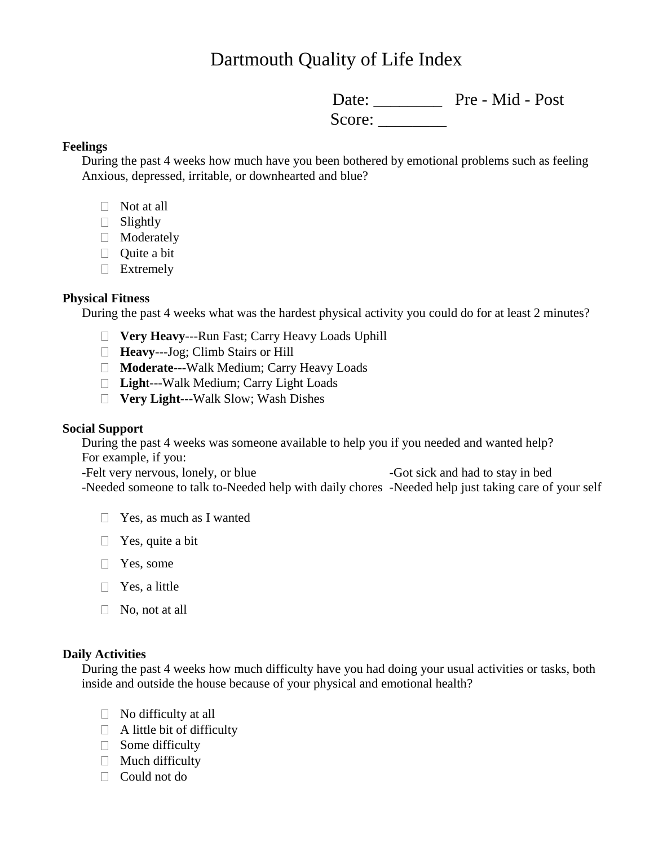# Dartmouth Quality of Life Index

Date: Pre - Mid - Post Score: \_\_\_\_\_\_\_\_

### **Feelings**

During the past 4 weeks how much have you been bothered by emotional problems such as feeling Anxious, depressed, irritable, or downhearted and blue?

- $\Box$  Not at all
- Slightly
- **Moderately**
- $\Box$  Ouite a bit
- **Extremely**

#### **Physical Fitness**

During the past 4 weeks what was the hardest physical activity you could do for at least 2 minutes?

- **Very Heavy**---Run Fast; Carry Heavy Loads Uphill
- **Heavy**---Jog; Climb Stairs or Hill
- **Moderate**---Walk Medium; Carry Heavy Loads
- **Ligh**t---Walk Medium; Carry Light Loads
- **Very Light**---Walk Slow; Wash Dishes

#### **Social Support**

During the past 4 weeks was someone available to help you if you needed and wanted help? For example, if you:

-Felt very nervous, lonely, or blue -Got sick and had to stay in bed -Needed someone to talk to-Needed help with daily chores -Needed help just taking care of your self

- $\Box$  Yes, as much as I wanted
- $\Box$  Yes, quite a bit
- □ Yes, some
- $\Box$  Yes, a little
- $\Box$  No, not at all

#### **Daily Activities**

During the past 4 weeks how much difficulty have you had doing your usual activities or tasks, both inside and outside the house because of your physical and emotional health?

- $\Box$  No difficulty at all
- $\Box$  A little bit of difficulty
- $\Box$  Some difficulty
- $\Box$  Much difficulty
- □ Could not do